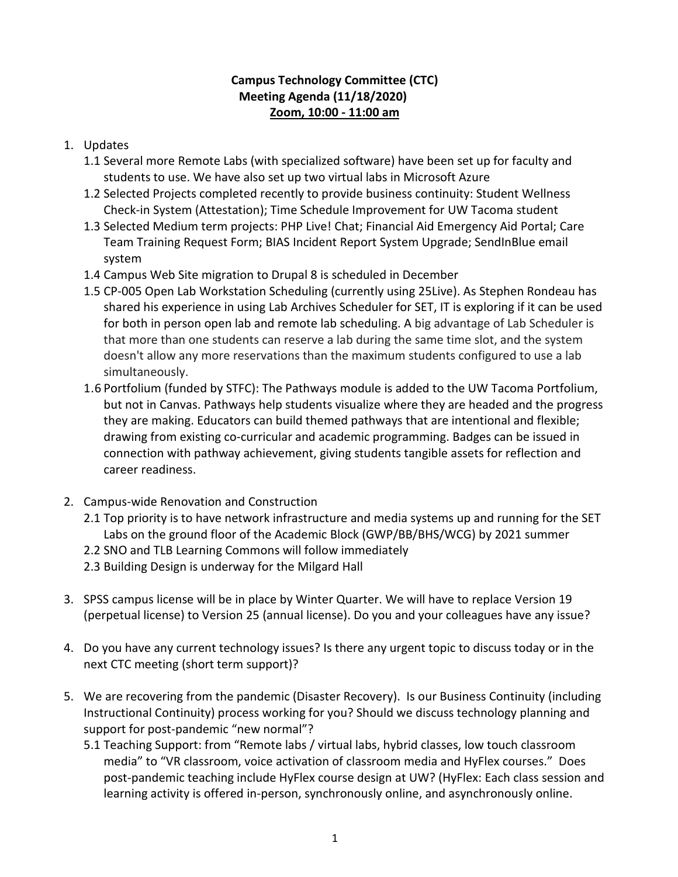## **Campus Technology Committee (CTC) Meeting Agenda (11/18/2020) Zoom, 10:00 - 11:00 am**

## 1. Updates

- 1.1 Several more Remote Labs (with specialized software) have been set up for faculty and students to use. We have also set up two virtual labs in Microsoft Azure
- 1.2 Selected Projects completed recently to provide business continuity: Student Wellness Check-in System (Attestation); Time Schedule Improvement for UW Tacoma student
- 1.3 Selected Medium term projects: PHP Live! Chat; Financial Aid Emergency Aid Portal; Care Team Training Request Form; BIAS Incident Report System Upgrade; SendInBlue email system
- 1.4 Campus Web Site migration to Drupal 8 is scheduled in December
- 1.5 CP-005 Open Lab Workstation Scheduling (currently using 25Live). As Stephen Rondeau has shared his experience in using Lab Archives Scheduler for SET, IT is exploring if it can be used for both in person open lab and remote lab scheduling. A big advantage of Lab Scheduler is that more than one students can reserve a lab during the same time slot, and the system doesn't allow any more reservations than the maximum students configured to use a lab simultaneously.
- 1.6 Portfolium (funded by STFC): The Pathways module is added to the UW Tacoma Portfolium, but not in Canvas. Pathways help students visualize where they are headed and the progress they are making. Educators can build themed pathways that are intentional and flexible; drawing from existing co-curricular and academic programming. Badges can be issued in connection with pathway achievement, giving students tangible assets for reflection and career readiness.
- 2. Campus-wide Renovation and Construction
	- 2.1 Top priority is to have network infrastructure and media systems up and running for the SET Labs on the ground floor of the Academic Block (GWP/BB/BHS/WCG) by 2021 summer
	- 2.2 SNO and TLB Learning Commons will follow immediately
	- 2.3 Building Design is underway for the Milgard Hall
- 3. SPSS campus license will be in place by Winter Quarter. We will have to replace Version 19 (perpetual license) to Version 25 (annual license). Do you and your colleagues have any issue?
- 4. Do you have any current technology issues? Is there any urgent topic to discuss today or in the next CTC meeting (short term support)?
- 5. We are recovering from the pandemic (Disaster Recovery). Is our Business Continuity (including Instructional Continuity) process working for you? Should we discuss technology planning and support for post-pandemic "new normal"?
	- 5.1 Teaching Support: from "Remote labs / virtual labs, hybrid classes, low touch classroom media" to "VR classroom, voice activation of classroom media and HyFlex courses." Does post-pandemic teaching include HyFlex course design at UW? (HyFlex: Each class session and learning activity is offered in-person, synchronously online, and asynchronously online.